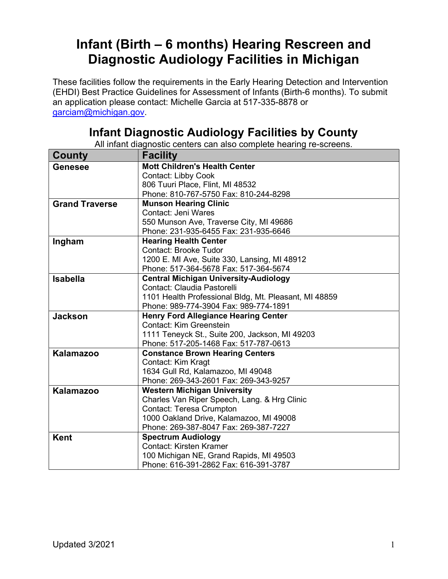## Infant (Birth – 6 months) Hearing Rescreen and Diagnostic Audiology Facilities in Michigan

These facilities follow the requirements in the Early Hearing Detection and Intervention (EHDI) Best Practice Guidelines for Assessment of Infants (Birth-6 months). To submit an application please contact: Michelle Garcia at 517-335-8878 or garciam@michigan.gov.

## Infant Diagnostic Audiology Facilities by County

All infant diagnostic centers can also complete hearing re-screens.

| County                | <b>Facility</b>                                       |
|-----------------------|-------------------------------------------------------|
| <b>Genesee</b>        | <b>Mott Children's Health Center</b>                  |
|                       | Contact: Libby Cook                                   |
|                       | 806 Tuuri Place, Flint, MI 48532                      |
|                       | Phone: 810-767-5750 Fax: 810-244-8298                 |
| <b>Grand Traverse</b> | <b>Munson Hearing Clinic</b>                          |
|                       | Contact: Jeni Wares                                   |
|                       | 550 Munson Ave, Traverse City, MI 49686               |
|                       | Phone: 231-935-6455 Fax: 231-935-6646                 |
| Ingham                | <b>Hearing Health Center</b>                          |
|                       | <b>Contact: Brooke Tudor</b>                          |
|                       | 1200 E. MI Ave, Suite 330, Lansing, MI 48912          |
|                       | Phone: 517-364-5678 Fax: 517-364-5674                 |
| <b>Isabella</b>       | <b>Central Michigan University-Audiology</b>          |
|                       | Contact: Claudia Pastorelli                           |
|                       | 1101 Health Professional Bldg, Mt. Pleasant, MI 48859 |
|                       | Phone: 989-774-3904 Fax: 989-774-1891                 |
| <b>Jackson</b>        | <b>Henry Ford Allegiance Hearing Center</b>           |
|                       | Contact: Kim Greenstein                               |
|                       | 1111 Teneyck St., Suite 200, Jackson, MI 49203        |
|                       | Phone: 517-205-1468 Fax: 517-787-0613                 |
| <b>Kalamazoo</b>      | <b>Constance Brown Hearing Centers</b>                |
|                       | Contact: Kim Kragt                                    |
|                       | 1634 Gull Rd, Kalamazoo, MI 49048                     |
|                       | Phone: 269-343-2601 Fax: 269-343-9257                 |
| <b>Kalamazoo</b>      | <b>Western Michigan University</b>                    |
|                       | Charles Van Riper Speech, Lang. & Hrg Clinic          |
|                       | Contact: Teresa Crumpton                              |
|                       | 1000 Oakland Drive, Kalamazoo, MI 49008               |
|                       | Phone: 269-387-8047 Fax: 269-387-7227                 |
| <b>Kent</b>           | <b>Spectrum Audiology</b>                             |
|                       | <b>Contact: Kirsten Kramer</b>                        |
|                       | 100 Michigan NE, Grand Rapids, MI 49503               |
|                       | Phone: 616-391-2862 Fax: 616-391-3787                 |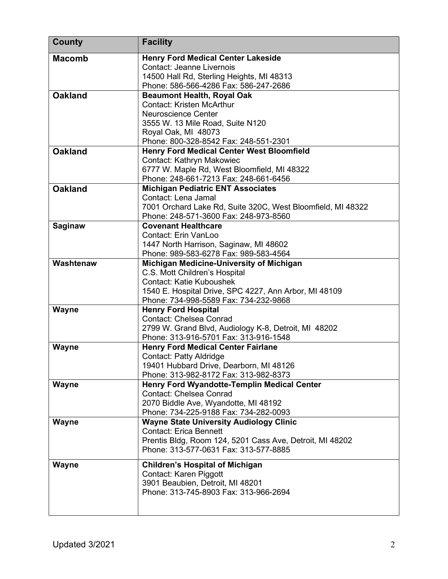| <b>County</b>  | <b>Facility</b>                                                                                |
|----------------|------------------------------------------------------------------------------------------------|
| <b>Macomb</b>  | <b>Henry Ford Medical Center Lakeside</b>                                                      |
|                | <b>Contact: Jeanne Livernois</b>                                                               |
|                | 14500 Hall Rd, Sterling Heights, MI 48313                                                      |
|                | Phone: 586-566-4286 Fax: 586-247-2686                                                          |
| <b>Oakland</b> | <b>Beaumont Health, Royal Oak</b>                                                              |
|                | <b>Contact: Kristen McArthur</b>                                                               |
|                | Neuroscience Center                                                                            |
|                | 3555 W. 13 Mile Road, Suite N120                                                               |
|                | Royal Oak, MI 48073                                                                            |
|                | Phone: 800-328-8542 Fax: 248-551-2301                                                          |
| <b>Oakland</b> | <b>Henry Ford Medical Center West Bloomfield</b>                                               |
|                | Contact: Kathryn Makowiec                                                                      |
|                | 6777 W. Maple Rd, West Bloomfield, MI 48322                                                    |
|                | Phone: 248-661-7213 Fax: 248-661-6456                                                          |
| <b>Oakland</b> | <b>Michigan Pediatric ENT Associates</b>                                                       |
|                | Contact: Lena Jamal                                                                            |
|                | 7001 Orchard Lake Rd, Suite 320C, West Bloomfield, MI 48322                                    |
|                | Phone: 248-571-3600 Fax: 248-973-8560                                                          |
| <b>Saginaw</b> | <b>Covenant Healthcare</b>                                                                     |
|                | Contact: Erin VanLoo                                                                           |
|                | 1447 North Harrison, Saginaw, MI 48602                                                         |
| Washtenaw      | Phone: 989-583-6278 Fax: 989-583-4564                                                          |
|                | Michigan Medicine-University of Michigan                                                       |
|                | C.S. Mott Children's Hospital<br><b>Contact: Katie Kuboushek</b>                               |
|                |                                                                                                |
|                | 1540 E. Hospital Drive, SPC 4227, Ann Arbor, MI 48109<br>Phone: 734-998-5589 Fax: 734-232-9868 |
| Wayne          | <b>Henry Ford Hospital</b>                                                                     |
|                | <b>Contact: Chelsea Conrad</b>                                                                 |
|                | 2799 W. Grand Blvd, Audiology K-8, Detroit, MI 48202                                           |
|                | Phone: 313-916-5701 Fax: 313-916-1548                                                          |
| Wayne          | <b>Henry Ford Medical Center Fairlane</b>                                                      |
|                | <b>Contact: Patty Aldridge</b>                                                                 |
|                | 19401 Hubbard Drive, Dearborn, MI 48126                                                        |
|                | Phone: 313-982-8172 Fax: 313-982-8373                                                          |
| Wayne          | Henry Ford Wyandotte-Templin Medical Center                                                    |
|                | <b>Contact: Chelsea Conrad</b>                                                                 |
|                | 2070 Biddle Ave, Wyandotte, MI 48192                                                           |
|                | Phone: 734-225-9188 Fax: 734-282-0093                                                          |
| Wayne          | <b>Wayne State University Audiology Clinic</b>                                                 |
|                | <b>Contact: Erica Bennett</b>                                                                  |
|                | Prentis Bldg, Room 124, 5201 Cass Ave, Detroit, MI 48202                                       |
|                | Phone: 313-577-0631 Fax: 313-577-8885                                                          |
|                |                                                                                                |
| Wayne          | <b>Children's Hospital of Michigan</b>                                                         |
|                | Contact: Karen Piggott                                                                         |
|                | 3901 Beaubien, Detroit, MI 48201                                                               |
|                | Phone: 313-745-8903 Fax: 313-966-2694                                                          |
|                |                                                                                                |
|                |                                                                                                |